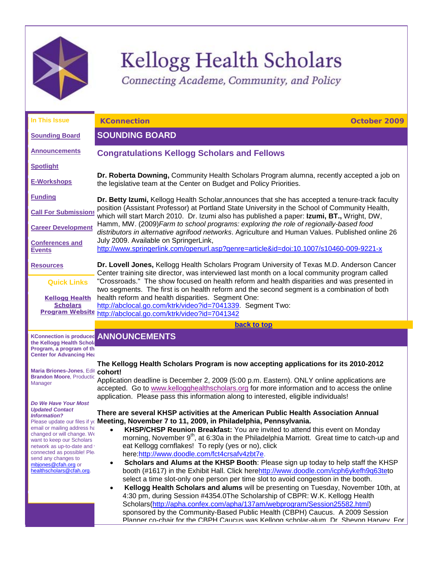

# Kellogg Health Scholars

<span id="page-0-2"></span><span id="page-0-0"></span>Connecting Academe, Community, and Policy

| In This Issue                                                        | <b>KConnection</b><br>October 2009                                                                                                                                                           |
|----------------------------------------------------------------------|----------------------------------------------------------------------------------------------------------------------------------------------------------------------------------------------|
| <b>Sounding Board</b>                                                | <b>SOUNDING BOARD</b>                                                                                                                                                                        |
| <b>Announcements</b>                                                 | <b>Congratulations Kellogg Scholars and Fellows</b>                                                                                                                                          |
| <b>Spotlight</b>                                                     |                                                                                                                                                                                              |
| <u>E-Workshops</u>                                                   | Dr. Roberta Downing, Community Health Scholars Program alumna, recently accepted a job on<br>the legislative team at the Center on Budget and Policy Priorities.                             |
| <b>Funding</b>                                                       | Dr. Betty Izumi, Kellogg Health Scholar, announces that she has accepted a tenure-track faculty                                                                                              |
| <b>Call For Submissions</b>                                          | position (Assistant Professor) at Portland State University in the School of Community Health,<br>which will start March 2010. Dr. Izumi also has published a paper: Izumi, BT., Wright, DW, |
| <b>Career Development</b>                                            | Hamm, MW. (2009) Farm to school programs: exploring the role of regionally-based food<br>distributors in alternative agrifood networks. Agriculture and Human Values. Published online 26    |
| <b>Conferences and</b><br><b>Events</b>                              | July 2009. Available on SpringerLink,<br>http://www.springerlink.com/openurl.asp?genre=article&id=doi:10.1007/s10460-009-9221-x                                                              |
| <b>Resources</b>                                                     | Dr. Lovell Jones, Kellogg Health Scholars Program University of Texas M.D. Anderson Cancer<br>Center training site director, was interviewed last month on a local community program called  |
| <b>Quick Links</b>                                                   | "Crossroads." The show focused on health reform and health disparities and was presented in<br>two segments. The first is on health reform and the second segment is a combination of both   |
| <b>Kellogg Health</b>                                                | health reform and health disparities. Segment One:                                                                                                                                           |
| <b>Scholars</b><br><b>Program Website</b>                            | http://abclocal.go.com/ktrk/video?id=7041339. Segment Two:<br>http://abclocal.go.com/ktrk/video?id=7041342                                                                                   |
|                                                                      | back to top                                                                                                                                                                                  |
| the Kellogg Health Schok                                             | <b>KConnection is produced ANNOUNCEMENTS</b>                                                                                                                                                 |
| Program, a program of th<br><b>Center for Advancing Hea</b>          |                                                                                                                                                                                              |
|                                                                      | The Kellogg Health Scholars Program is now accepting applications for its 2010-2012                                                                                                          |
| Maria Briones-Jones, Edit cohort!<br><b>Brandon Moore, Productic</b> |                                                                                                                                                                                              |
| <b>Manager</b>                                                       | Application deadline is December 2, 2009 (5:00 p.m. Eastern). ONLY online applications are<br>accepted. Go to www.kellogghealthscholars.org for more information and to access the online    |
|                                                                      | application. Please pass this information along to interested, eligible individuals!                                                                                                         |
| Do We Have Your Most<br><b>Updated Contact</b>                       | There are several KHSP activities at the American Public Health Association Annual                                                                                                           |
| <b>Information?</b>                                                  | Please update our files if yo Meeting, November 7 to 11, 2009, in Philadelphia, Pennsylvania.                                                                                                |
| email or mailing address ha                                          | KHSP/CHSP Reunion Breakfast: You are invited to attend this event on Monday                                                                                                                  |
| changed or will change. We<br>want to keep our Scholars              | morning, November 9 <sup>th</sup> , at 6:30a in the Philadelphia Marriott. Great time to catch-up and                                                                                        |
| network as up-to-date and<br>connected as possible! Plea             | eat Kellogg cornflakes! To reply (yes or no), click<br>here:http://www.doodle.com/fct4crsafv4zbt7e.                                                                                          |
| send any changes to<br>mbjones@cfah.org or                           | Scholars and Alums at the KHSP Booth: Please sign up today to help staff the KHSP<br>$\bullet$                                                                                               |
| healthscholars@cfah.org.                                             | booth (#1617) in the Exhibit Hall. Click herehttp://www.doodle.com/icph6ykefh9q63teto                                                                                                        |
|                                                                      | select a time slot-only one person per time slot to avoid congestion in the booth.                                                                                                           |
|                                                                      | Kellogg Health Scholars and alums will be presenting on Tuesday, November 10th, at                                                                                                           |
|                                                                      | 4:30 pm, during Session #4354.0The Scholarship of CBPR: W.K. Kellogg Health<br>Scholars (http://apha.confex.com/apha/137am/webprogram/Session25582.html)                                     |

<span id="page-0-1"></span>Scholars[\(http://apha.confex.com/apha/137am/webprogram/Session25582.html\)](http://rs6.net/tn.jsp?t=xtjoradab.0.0.5gytkqcab.0&p=http%3A%2F%2Fapha.confex.com%2Fapha%2F137am%2Fwebprogram%2FSession25582.html&id=preview) sponsored by the Community-Based Public Health (CBPH) Caucus. A 2009 Session Planner co-chair for the CBPH Caucus was Kellogg scholar-alum, Dr. Shevon Harvey. For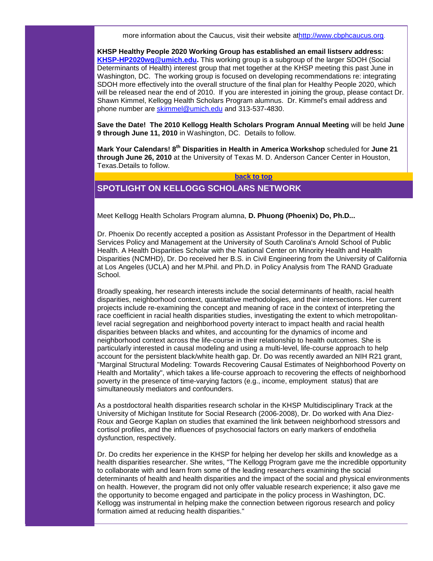more information about the Caucus, visit their website a[thttp://www.cbphcaucus.org.](http://rs6.net/tn.jsp?t=xtjoradab.0.0.5gytkqcab.0&p=http%3A%2F%2Fwww.cbphcaucus.org%2F&id=preview)

**KHSP Healthy People 2020 Working Group has established an email listserv address: [KHSP-HP2020wg@umich.edu.](mailto:KHSP-HP2020wg@umich.edu)** This working group is a subgroup of the larger SDOH (Social Determinants of Health) interest group that met together at the KHSP meeting this past June in Washington, DC. The working group is focused on developing recommendations re: integrating SDOH more effectively into the overall structure of the final plan for Healthy People 2020, which will be released near the end of 2010. If you are interested in joining the group, please contact Dr. Shawn Kimmel, Kellogg Health Scholars Program alumnus. Dr. Kimmel's email address and phone number are [skimmel@umich.edu](mailto:skimmel@umich.edu) and 313-537-4830.

**Save the Date! The 2010 Kellogg Health Scholars Program Annual Meeting** will be held **June 9 through June 11, 2010** in Washington, DC. Details to follow.

**Mark Your Calendars! 8th Disparities in Health in America Workshop** scheduled for **June 21 through June 26, 2010** at the University of Texas M. D. Anderson Cancer Center in Houston, Texas.Details to follow.

**[back to top](#page-0-2)**

# <span id="page-1-0"></span>**SPOTLIGHT ON KELLOGG SCHOLARS NETWORK**

Meet Kellogg Health Scholars Program alumna, **D. Phuong (Phoenix) Do, Ph.D...**

Dr. Phoenix Do recently accepted a position as Assistant Professor in the Department of Health Services Policy and Management at the University of South Carolina's Arnold School of Public Health. A Health Disparities Scholar with the National Center on Minority Health and Health Disparities (NCMHD), Dr. Do received her B.S. in Civil Engineering from the University of California at Los Angeles (UCLA) and her M.Phil. and Ph.D. in Policy Analysis from The RAND Graduate School.

Broadly speaking, her research interests include the social determinants of health, racial health disparities, neighborhood context, quantitative methodologies, and their intersections. Her current projects include re-examining the concept and meaning of race in the context of interpreting the race coefficient in racial health disparities studies, investigating the extent to which metropolitanlevel racial segregation and neighborhood poverty interact to impact health and racial health disparities between blacks and whites, and accounting for the dynamics of income and neighborhood context across the life-course in their relationship to health outcomes. She is particularly interested in causal modeling and using a multi-level, life-course approach to help account for the persistent black/white health gap. Dr. Do was recently awarded an NIH R21 grant, "Marginal Structural Modeling: Towards Recovering Causal Estimates of Neighborhood Poverty on Health and Mortality", which takes a life-course approach to recovering the effects of neighborhood poverty in the presence of time-varying factors (e.g., income, employment status) that are simultaneously mediators and confounders.

As a postdoctoral health disparities research scholar in the KHSP Multidisciplinary Track at the University of Michigan Institute for Social Research (2006-2008), Dr. Do worked with Ana Diez-Roux and George Kaplan on studies that examined the link between neighborhood stressors and cortisol profiles, and the influences of psychosocial factors on early markers of endothelia dysfunction, respectively.

Dr. Do credits her experience in the KHSP for helping her develop her skills and knowledge as a health disparities researcher. She writes, "The Kellogg Program gave me the incredible opportunity to collaborate with and learn from some of the leading researchers examining the social determinants of health and health disparities and the impact of the social and physical environments on health. However, the program did not only offer valuable research experience; it also gave me the opportunity to become engaged and participate in the policy process in Washington, DC. Kellogg was instrumental in helping make the connection between rigorous research and policy formation aimed at reducing health disparities."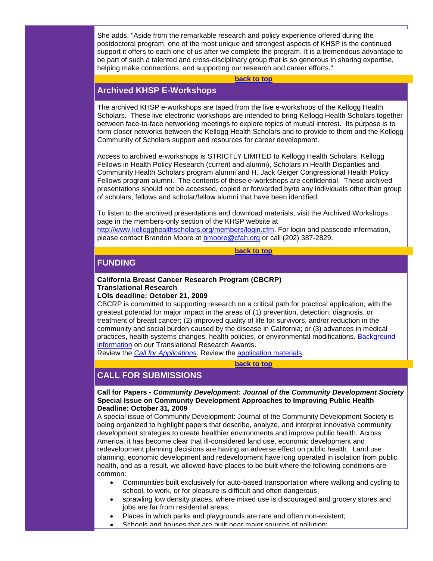She adds, "Aside from the remarkable research and policy experience offered during the postdoctoral program, one of the most unique and strongest aspects of KHSP is the continued support it offers to each one of us after we complete the program. It is a tremendous advantage to be part of such a talented and cross-disciplinary group that is so generous in sharing expertise, helping make connections, and supporting our research and career efforts."

#### **[back to top](#page-0-2)**

# <span id="page-2-0"></span>**Archived KHSP E-Workshops**

The archived KHSP e-workshops are taped from the live e-workshops of the Kellogg Health Scholars. These live electronic workshops are intended to bring Kellogg Health Scholars together between face-to-face networking meetings to explore topics of mutual interest. Its purpose is to form closer networks between the Kellogg Health Scholars and to provide to them and the Kellogg Community of Scholars support and resources for career development.

Access to archived e-workshops is STRICTLY LIMITED to Kellogg Health Scholars, Kellogg Fellows in Health Policy Research (current and alumni), Scholars in Health Disparities and Community Health Scholars program alumni and H. Jack Geiger Congressional Health Policy Fellows program alumni. The contents of these e-workshops are confidential. These archived presentations should not be accessed, copied or forwarded by/to any individuals other than group of scholars, fellows and scholar/fellow alumni that have been identified.

To listen to the archived presentations and download materials, visit the Archived Workshops page in the members-only section of the KHSP website at

[http://www.kellogghealthscholars.org/members/login.cfm.](http://rs6.net/tn.jsp?t=xtjoradab.0.0.5gytkqcab.0&p=http%3A%2F%2Fwww.kellogghealthscholars.org%2Fmembers%2Flogin.cfm&id=preview) For login and passcode information, please contact Brandon Moore at [bmoore@cfah.org](mailto:bmoore@cfah.org) or call (202) 387-2829.

#### **[back to top](#page-0-2)**

# <span id="page-2-1"></span>**FUNDING**

## **California Breast Cancer Research Program (CBCRP) Translational Research**

# **LOIs deadline: October 21, 2009**

CBCRP is committed to supporting research on a critical path for practical application, with the greatest potential for major impact in the areas of (1) prevention, detection, diagnosis, or treatment of breast cancer; (2) improved quality of life for survivors, and/or reduction in the community and social burden caused by the disease in California; or (3) advances in medical practices, health systems changes, health policies, or environmental modifications. [Background](http://rs6.net/tn.jsp?t=xtjoradab.0.0.5gytkqcab.0&p=http%3A%2F%2Fwww.cbcrp.org%2Fapply%2FaboutAwards.php&id=preview)  [information](http://rs6.net/tn.jsp?t=xtjoradab.0.0.5gytkqcab.0&p=http%3A%2F%2Fwww.cbcrp.org%2Fapply%2FaboutAwards.php&id=preview) on our Translational Research Awards.

Review the *[Call for Applications](http://rs6.net/tn.jsp?t=xtjoradab.0.0.5gytkqcab.0&p=http%3A%2F%2Fwww.cbcrp.org%2Fapply%2Fcall%2F&id=preview)*. Review the [application materials.](http://rs6.net/tn.jsp?t=xtjoradab.0.0.5gytkqcab.0&p=http%3A%2F%2Fwww.cbcrp.org%2Fapply%2FappForms%2F&id=preview)

#### **[back to top](#page-0-2)**

# <span id="page-2-2"></span>**CALL FOR SUBMISSIONS**

## **Call for Papers -** *Community Development: Journal of the Community Development Society* **Special Issue on Community Development Approaches to Improving Public Health Deadline: October 31, 2009**

A special issue of Community Development: Journal of the Community Development Society is being organized to highlight papers that describe, analyze, and interpret innovative community development strategies to create healthier environments and improve public health. Across America, it has become clear that ill-considered land use, economic development and redevelopment planning decisions are having an adverse effect on public health. Land use planning, economic development and redevelopment have long operated in isolation from public health, and as a result, we allowed have places to be built where the following conditions are common:

- Communities built exclusively for auto-based transportation where walking and cycling to school, to work, or for pleasure is difficult and often dangerous;
- sprawling low density places, where mixed use is discouraged and grocery stores and jobs are far from residential areas;
- Places in which parks and playgrounds are rare and often non-existent;
- Schools and houses that are built near major sources of pollution;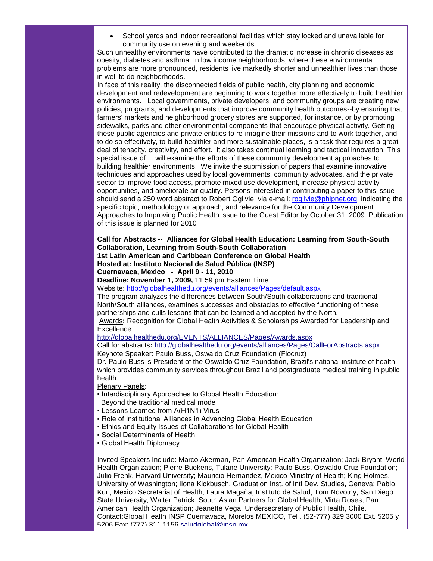• School yards and indoor recreational facilities which stay locked and unavailable for community use on evening and weekends.

Such unhealthy environments have contributed to the dramatic increase in chronic diseases as obesity, diabetes and asthma. In low income neighborhoods, where these environmental problems are more pronounced, residents live markedly shorter and unhealthier lives than those in well to do neighborhoods.

In face of this reality, the disconnected fields of public health, city planning and economic development and redevelopment are beginning to work together more effectively to build healthier environments. Local governments, private developers, and community groups are creating new policies, programs, and developments that improve community health outcomes--by ensuring that farmers' markets and neighborhood grocery stores are supported, for instance, or by promoting sidewalks, parks and other environmental components that encourage physical activity. Getting these public agencies and private entities to re-imagine their missions and to work together, and to do so effectively, to build healthier and more sustainable places, is a task that requires a great deal of tenacity, creativity, and effort. It also takes continual learning and tactical innovation. This special issue of ... will examine the efforts of these community development approaches to building healthier environments. We invite the submission of papers that examine innovative techniques and approaches used by local governments, community advocates, and the private sector to improve food access, promote mixed use development, increase physical activity opportunities, and ameliorate air quality. Persons interested in contributing a paper to this issue should send a 250 word abstract to Robert Ogilvie, via e-mail: [rogilvie@phlpnet.org](mailto:rogilvie@phlpnet.org) indicating the specific topic, methodology or approach, and relevance for the Community Development Approaches to Improving Public Health issue to the Guest Editor by October 31, 2009. Publication of this issue is planned for 2010

#### **Call for Abstracts -- Alliances for Global Health Education: Learning from South-South Collaboration, Learning from South-South Collaboration 1st Latin American and Caribbean Conference on Global Health**

#### **Hosted at: Instituto Nacional de Salud Pública (INSP)**

#### **Cuernavaca, Mexico - April 9 - 11, 2010**

## **Deadline: November 1, 2009,** 11:59 pm Eastern Time

Website: [http://globalhealthedu.org/events/alliances/Pages/default.aspx](http://rs6.net/tn.jsp?t=xtjoradab.0.0.5gytkqcab.0&p=http%3A%2F%2Fglobalhealthedu.org%2Fevents%2Falliances%2FPages%2Fdefault.aspx&id=preview)

The program analyzes the differences between South/South collaborations and traditional North/South alliances, examines successes and obstacles to effective functioning of these partnerships and culls lessons that can be learned and adopted by the North.

Awards**:** Recognition for Global Health Activities & Scholarships Awarded for Leadership and **Excellence** 

#### [http://globalhealthedu.org/EVENTS/ALLIANCES/Pages/Awards.aspx](http://rs6.net/tn.jsp?t=xtjoradab.0.0.5gytkqcab.0&p=http%3A%2F%2Fglobalhealthedu.org%2FEVENTS%2FALLIANCES%2FPages%2FAwards.aspx&id=preview)

#### Call for abstracts**:** [http://globalhealthedu.org/events/alliances/Pages/CallForAbstracts.aspx](http://rs6.net/tn.jsp?t=xtjoradab.0.0.5gytkqcab.0&p=http%3A%2F%2Fglobalhealthedu.org%2Fevents%2Falliances%2FPages%2FCallForAbstracts.aspx&id=preview) Keynote Speaker: Paulo Buss, Oswaldo Cruz Foundation (Fiocruz)

Dr. Paulo Buss is President of the Oswaldo Cruz Foundation, Brazil's national institute of health which provides community services throughout Brazil and postgraduate medical training in public health.

Plenary Panels:

- Interdisciplinary Approaches to Global Health Education: Beyond the traditional medical model
- **Lessons Learned from A(H1N1) Virus**
- Role of Institutional Alliances in Advancing Global Health Education
- **Ethics and Equity Issues of Collaborations for Global Health**
- Social Determinants of Health
- Global Health Diplomacy

Invited Speakers Include: Marco Akerman, Pan American Health Organization; Jack Bryant, World Health Organization; Pierre Buekens, Tulane University; Paulo Buss, Oswaldo Cruz Foundation; Julio Frenk, Harvard University; Mauricio Hernandez, Mexico Ministry of Health; King Holmes, University of Washington; Ilona Kickbusch, Graduation Inst. of Intl Dev. Studies, Geneva; Pablo Kuri, Mexico Secretariat of Health; Laura Magaña, Instituto de Salud; Tom Novotny, San Diego State University; Walter Patrick, South Asian Partners for Global Health; Mirta Roses, Pan American Health Organization; Jeanette Vega, Undersecretary of Public Health, Chile. Contact:Global Health INSP Cuernavaca, Morelos MEXICO, Tel . (52-777) 329 3000 Ext. 5205 y 5206 Fax: (777) 311 1156 [saludglobal@insp.mx](mailto:saludglobal@insp.mx)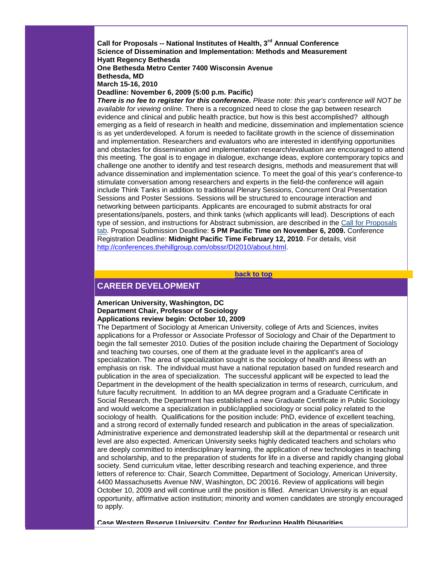**Call for Proposals -- National Institutes of Health, 3rd Annual Conference Science of Dissemination and Implementation: Methods and Measurement Hyatt Regency Bethesda One Bethesda Metro Center 7400 Wisconsin Avenue**

**Bethesda, MD**

**March 15-16, 2010**

#### **Deadline: November 6, 2009 (5:00 p.m. Pacific)**

*There is no fee to register for this conference. Please note: this year's conference will NOT be available for viewing online.* There is a recognized need to close the gap between research evidence and clinical and public health practice, but how is this best accomplished? although emerging as a field of research in health and medicine, dissemination and implementation science is as yet underdeveloped. A forum is needed to facilitate growth in the science of dissemination and implementation. Researchers and evaluators who are interested in identifying opportunities and obstacles for dissemination and implementation research/evaluation are encouraged to attend this meeting. The goal is to engage in dialogue, exchange ideas, explore contemporary topics and challenge one another to identify and test research designs, methods and measurement that will advance dissemination and implementation science. To meet the goal of this year's conference-to stimulate conversation among researchers and experts in the field-the conference will again include Think Tanks in addition to traditional Plenary Sessions, Concurrent Oral Presentation Sessions and Poster Sessions. Sessions will be structured to encourage interaction and networking between participants. Applicants are encouraged to submit abstracts for oral presentations/panels, posters, and think tanks (which applicants will lead). Descriptions of each type of session, and instructions for Abstract submission, are described in the [Call for Proposals](http://rs6.net/tn.jsp?t=xtjoradab.0.0.5gytkqcab.0&p=http%3A%2F%2Fconferences.thehillgroup.com%2Fobssr%2FDI2010%2Fabstracts.html&id=preview)  [tab.](http://rs6.net/tn.jsp?t=xtjoradab.0.0.5gytkqcab.0&p=http%3A%2F%2Fconferences.thehillgroup.com%2Fobssr%2FDI2010%2Fabstracts.html&id=preview) Proposal Submission Deadline: **5 PM Pacific Time on November 6, 2009.** Conference Registration Deadline: **Midnight Pacific Time February 12, 2010**. For details, visit [http://conferences.thehillgroup.com/obssr/DI2010/about.html.](http://rs6.net/tn.jsp?t=xtjoradab.0.0.5gytkqcab.0&p=http%3A%2F%2Fconferences.thehillgroup.com%2Fobssr%2FDI2010%2Fabout.html&id=preview)

**[back to top](#page-0-2)**

# <span id="page-4-0"></span>**CAREER DEVELOPMENT**

#### **American University, Washington, DC Department Chair, Professor of Sociology Applications review begin: October 10, 2009**

The Department of Sociology at American University, college of Arts and Sciences, invites applications for a Professor or Associate Professor of Sociology and Chair of the Department to begin the fall semester 2010. Duties of the position include chairing the Department of Sociology and teaching two courses, one of them at the graduate level in the applicant's area of specialization. The area of specialization sought is the sociology of health and illness with an emphasis on risk. The individual must have a national reputation based on funded research and publication in the area of specialization. The successful applicant will be expected to lead the Department in the development of the health specialization in terms of research, curriculum, and future faculty recruitment. In addition to an MA degree program and a Graduate Certificate in Social Research, the Department has established a new Graduate Certificate in Public Sociology and would welcome a specialization in public/applied sociology or social policy related to the sociology of health. Qualifications for the position include: PhD, evidence of excellent teaching, and a strong record of externally funded research and publication in the areas of specialization. Administrative experience and demonstrated leadership skill at the departmental or research unit level are also expected. American University seeks highly dedicated teachers and scholars who are deeply committed to interdisciplinary learning, the application of new technologies in teaching and scholarship, and to the preparation of students for life in a diverse and rapidly changing global society. Send curriculum vitae, letter describing research and teaching experience, and three letters of reference to: Chair, Search Committee, Department of Sociology, American University, 4400 Massachusetts Avenue NW, Washington, DC 20016. Review of applications will begin October 10, 2009 and will continue until the position is filled. American University is an equal opportunity, affirmative action institution; minority and women candidates are strongly encouraged to apply.

**Case Western Reserve University, Center for Reducing Health Disparities**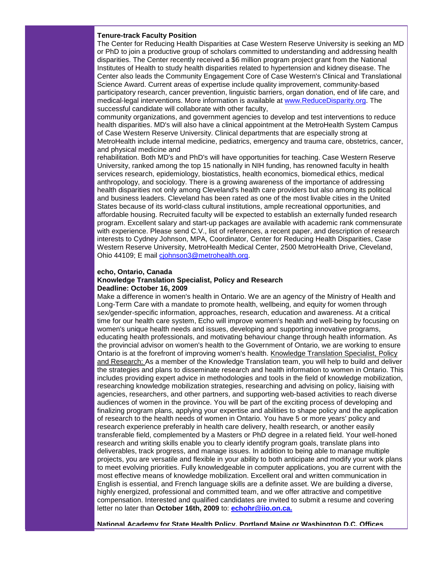#### **Tenure-track Faculty Position**

The Center for Reducing Health Disparities at Case Western Reserve University is seeking an MD or PhD to join a productive group of scholars committed to understanding and addressing health disparities. The Center recently received a \$6 million program project grant from the National Institutes of Health to study health disparities related to hypertension and kidney disease. The Center also leads the Community Engagement Core of Case Western's Clinical and Translational Science Award. Current areas of expertise include quality improvement, community-based participatory research, cancer prevention, linguistic barriers, organ donation, end of life care, and medical-legal interventions. More information is available at [www.ReduceDisparity.org.](http://rs6.net/tn.jsp?t=xtjoradab.0.0.5gytkqcab.0&p=http%3A%2F%2Fwww.reducedisparity.org%2F&id=preview) The successful candidate will collaborate with other faculty,

community organizations, and government agencies to develop and test interventions to reduce health disparities. MD's will also have a clinical appointment at the MetroHealth System Campus of Case Western Reserve University. Clinical departments that are especially strong at MetroHealth include internal medicine, pediatrics, emergency and trauma care, obstetrics, cancer, and physical medicine and

rehabilitation. Both MD's and PhD's will have opportunities for teaching. Case Western Reserve University, ranked among the top 15 nationally in NIH funding, has renowned faculty in health services research, epidemiology, biostatistics, health economics, biomedical ethics, medical anthropology, and sociology. There is a growing awareness of the importance of addressing health disparities not only among Cleveland's health care providers but also among its political and business leaders. Cleveland has been rated as one of the most livable cities in the United States because of its world-class cultural institutions, ample recreational opportunities, and affordable housing. Recruited faculty will be expected to establish an externally funded research program. Excellent salary and start-up packages are available with academic rank commensurate with experience. Please send C.V., list of references, a recent paper, and description of research interests to Cydney Johnson, MPA, Coordinator, Center for Reducing Health Disparities, Case Western Reserve University, MetroHealth Medical Center, 2500 MetroHealth Drive, Cleveland, Ohio 44109; E mail ciohnson3@metrohealth.org.

# **echo, Ontario, Canada**

## **Knowledge Translation Specialist, Policy and Research Deadline: October 16, 2009**

Make a difference in women's health in Ontario. We are an agency of the Ministry of Health and Long-Term Care with a mandate to promote health, wellbeing, and equity for women through sex/gender-specific information, approaches, research, education and awareness. At a critical time for our health care system, Echo will improve women's health and well-being by focusing on women's unique health needs and issues, developing and supporting innovative programs, educating health professionals, and motivating behaviour change through health information. As the provincial advisor on women's health to the Government of Ontario, we are working to ensure Ontario is at the forefront of improving women's health. Knowledge Translation Specialist, Policy and Research: As a member of the Knowledge Translation team, you will help to build and deliver the strategies and plans to disseminate research and health information to women in Ontario. This includes providing expert advice in methodologies and tools in the field of knowledge mobilization, researching knowledge mobilization strategies, researching and advising on policy, liaising with agencies, researchers, and other partners, and supporting web-based activities to reach diverse audiences of women in the province. You will be part of the exciting process of developing and finalizing program plans, applying your expertise and abilities to shape policy and the application of research to the health needs of women in Ontario. You have 5 or more years' policy and research experience preferably in health care delivery, health research, or another easily transferable field, complemented by a Masters or PhD degree in a related field. Your well-honed research and writing skills enable you to clearly identify program goals, translate plans into deliverables, track progress, and manage issues. In addition to being able to manage multiple projects, you are versatile and flexible in your ability to both anticipate and modify your work plans to meet evolving priorities. Fully knowledgeable in computer applications, you are current with the most effective means of knowledge mobilization. Excellent oral and written communication in English is essential, and French language skills are a definite asset. We are building a diverse, highly energized, professional and committed team, and we offer attractive and competitive compensation. Interested and qualified candidates are invited to submit a resume and covering letter no later than **October 16th, 2009** to: **[echohr@iio.on.ca.](mailto:echohr@iio.on.ca)** 

**National Academy for State Health Policy, Portland Maine or Washington D.C. Offices**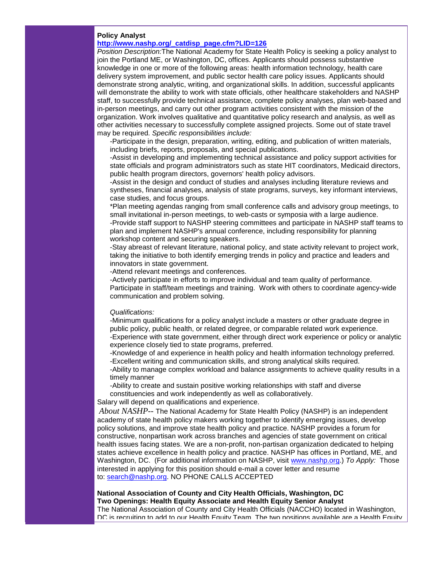# **Policy Analyst**

# **[http://www.nashp.org/\\_catdisp\\_page.cfm?LID=126](http://rs6.net/tn.jsp?t=xtjoradab.0.0.5gytkqcab.0&p=http%3A%2F%2Fwww.nashp.org%2F_catdisp_page.cfm%3FLID%3D126&id=preview)**

*Position Description:*The National Academy for State Health Policy is seeking a policy analyst to join the Portland ME, or Washington, DC, offices. Applicants should possess substantive knowledge in one or more of the following areas: health information technology, health care delivery system improvement, and public sector health care policy issues. Applicants should demonstrate strong analytic, writing, and organizational skills. In addition, successful applicants will demonstrate the ability to work with state officials, other healthcare stakeholders and NASHP staff, to successfully provide technical assistance, complete policy analyses, plan web-based and in-person meetings, and carry out other program activities consistent with the mission of the organization. Work involves qualitative and quantitative policy research and analysis, as well as other activities necessary to successfully complete assigned projects. Some out of state travel may be required. *Specific responsibilities include:*

-Participate in the design, preparation, writing, editing, and publication of written materials, including briefs, reports, proposals, and special publications.

-Assist in developing and implementing technical assistance and policy support activities for state officials and program administrators such as state HIT coordinators, Medicaid directors, public health program directors, governors' health policy advisors.

-Assist in the design and conduct of studies and analyses including literature reviews and syntheses, financial analyses, analysis of state programs, surveys, key informant interviews, case studies, and focus groups.

\*Plan meeting agendas ranging from small conference calls and advisory group meetings, to small invitational in-person meetings, to web-casts or symposia with a large audience. -Provide staff support to NASHP steering committees and participate in NASHP staff teams to plan and implement NASHP's annual conference, including responsibility for planning workshop content and securing speakers.

-Stay abreast of relevant literature, national policy, and state activity relevant to project work, taking the initiative to both identify emerging trends in policy and practice and leaders and innovators in state government.

-Attend relevant meetings and conferences.

-Actively participate in efforts to improve individual and team quality of performance. Participate in staff/team meetings and training. Work with others to coordinate agency-wide communication and problem solving.

#### *Qualifications:*

-Minimum qualifications for a policy analyst include a masters or other graduate degree in public policy, public health, or related degree, or comparable related work experience. -Experience with state government, either through direct work experience or policy or analytic

experience closely tied to state programs, preferred. -Knowledge of and experience in health policy and health information technology preferred.

-Excellent writing and communication skills, and strong analytical skills required.

-Ability to manage complex workload and balance assignments to achieve quality results in a timely manner

-Ability to create and sustain positive working relationships with staff and diverse constituencies and work independently as well as collaboratively.

Salary will depend on qualifications and experience.

*About NASHP*-- The National Academy for State Health Policy (NASHP) is an independent academy of state health policy makers working together to identify emerging issues, develop policy solutions, and improve state health policy and practice. NASHP provides a forum for constructive, nonpartisan work across branches and agencies of state government on critical health issues facing states. We are a non-profit, non-partisan organization dedicated to helping states achieve excellence in health policy and practice. NASHP has offices in Portland, ME, and Washington, DC. (For additional information on NASHP, visit [www.nashp.org.](http://rs6.net/tn.jsp?t=xtjoradab.0.0.5gytkqcab.0&p=http%3A%2F%2Fwww.nashp.org%2F&id=preview)) *To Apply:* Those interested in applying for this position should e-mail a cover letter and resume to: [search@nashp.org.](mailto:search@nashp.org) NO PHONE CALLS ACCEPTED

#### **National Association of County and City Health Officials, Washington, DC Two Openings: Health Equity Associate and Health Equity Senior Analyst**

The National Association of County and City Health Officials (NACCHO) located in Washington, DC is recruiting to add to our Health Equity Team. The two positions available are a Health Equity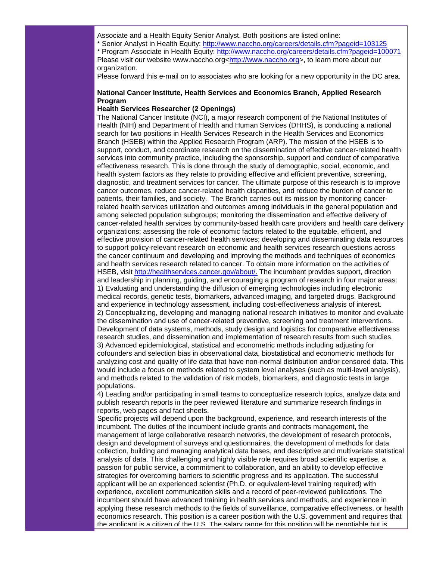Associate and a Health Equity Senior Analyst. Both positions are listed online:

\* Senior Analyst in Health Equity: [http://www.naccho.org/careers/details.cfm?pageid=103125](http://rs6.net/tn.jsp?t=xtjoradab.0.0.5gytkqcab.0&p=http%3A%2F%2Fwww.naccho.org%2Fcareers%2Fdetails.cfm%3Fpageid%3D103125&id=preview) \* Program Associate in Health Equity: [http://www.naccho.org/careers/details.cfm?pageid=100071](http://rs6.net/tn.jsp?t=xtjoradab.0.0.5gytkqcab.0&p=http%3A%2F%2Fwww.naccho.org%2Fcareers%2Fdetails.cfm%3Fpageid%3D100071&id=preview) Please visit our website www.naccho.org[<http://www.naccho.org>](http://rs6.net/tn.jsp?t=xtjoradab.0.0.5gytkqcab.0&p=http%3A%2F%2Fwww.naccho.org%2F&id=preview), to learn more about our organization.

Please forward this e-mail on to associates who are looking for a new opportunity in the DC area.

## **National Cancer Institute, Health Services and Economics Branch, Applied Research Program**

#### **Health Services Researcher (2 Openings)**

The National Cancer Institute (NCI), a major research component of the National Institutes of Health (NIH) and Department of Health and Human Services (DHHS), is conducting a national search for two positions in Health Services Research in the Health Services and Economics Branch (HSEB) within the Applied Research Program (ARP). The mission of the HSEB is to support, conduct, and coordinate research on the dissemination of effective cancer-related health services into community practice, including the sponsorship, support and conduct of comparative effectiveness research. This is done through the study of demographic, social, economic, and health system factors as they relate to providing effective and efficient preventive, screening, diagnostic, and treatment services for cancer. The ultimate purpose of this research is to improve cancer outcomes, reduce cancer-related health disparities, and reduce the burden of cancer to patients, their families, and society. The Branch carries out its mission by monitoring cancerrelated health services utilization and outcomes among individuals in the general population and among selected population subgroups; monitoring the dissemination and effective delivery of cancer-related health services by community-based health care providers and health care delivery organizations; assessing the role of economic factors related to the equitable, efficient, and effective provision of cancer-related health services; developing and disseminating data resources to support policy-relevant research on economic and health services research questions across the cancer continuum and developing and improving the methods and techniques of economics and health services research related to cancer. To obtain more information on the activities of HSEB, visit [http://healthservices.cancer.gov/about/.](http://rs6.net/tn.jsp?t=xtjoradab.0.0.5gytkqcab.0&p=http%3A%2F%2Fhealthservices.cancer.gov%2Fabout%2F&id=preview) The incumbent provides support, direction and leadership in planning, guiding, and encouraging a program of research in four major areas: 1) Evaluating and understanding the diffusion of emerging technologies including electronic medical records, genetic tests, biomarkers, advanced imaging, and targeted drugs. Background and experience in technology assessment, including cost-effectiveness analysis of interest. 2) Conceptualizing, developing and managing national research initiatives to monitor and evaluate the dissemination and use of cancer-related preventive, screening and treatment interventions. Development of data systems, methods, study design and logistics for comparative effectiveness research studies, and dissemination and implementation of research results from such studies. 3) Advanced epidemiological, statistical and econometric methods including adjusting for cofounders and selection bias in observational data, biostatistical and econometric methods for analyzing cost and quality of life data that have non-normal distribution and/or censored data. This would include a focus on methods related to system level analyses (such as multi-level analysis), and methods related to the validation of risk models, biomarkers, and diagnostic tests in large populations.

4) Leading and/or participating in small teams to conceptualize research topics, analyze data and publish research reports in the peer reviewed literature and summarize research findings in reports, web pages and fact sheets.

Specific projects will depend upon the background, experience, and research interests of the incumbent. The duties of the incumbent include grants and contracts management, the management of large collaborative research networks, the development of research protocols, design and development of surveys and questionnaires, the development of methods for data collection, building and managing analytical data bases, and descriptive and multivariate statistical analysis of data. This challenging and highly visible role requires broad scientific expertise, a passion for public service, a commitment to collaboration, and an ability to develop effective strategies for overcoming barriers to scientific progress and its application. The successful applicant will be an experienced scientist (Ph.D. or equivalent-level training required) with experience, excellent communication skills and a record of peer-reviewed publications. The incumbent should have advanced training in health services and methods, and experience in applying these research methods to the fields of surveillance, comparative effectiveness, or health economics research. This position is a career position with the U.S. government and requires that the applicant is a citizen of the U.S. The salary range for this position will be negotiable but is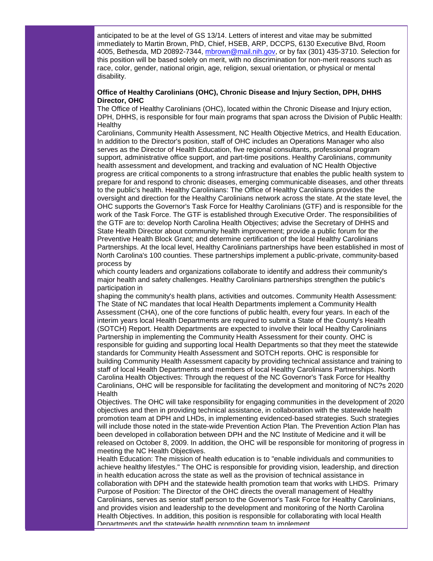anticipated to be at the level of GS 13/14. Letters of interest and vitae may be submitted immediately to Martin Brown, PhD, Chief, HSEB, ARP, DCCPS, 6130 Executive Blvd, Room 4005, Bethesda, MD 20892-7344, [mbrown@mail.nih.gov,](mailto:mbrown@mail.nih.gov) or by fax (301) 435-3710. Selection for this position will be based solely on merit, with no discrimination for non-merit reasons such as race, color, gender, national origin, age, religion, sexual orientation, or physical or mental disability.

#### **Office of Healthy Carolinians (OHC), Chronic Disease and Injury Section, DPH, DHHS Director, OHC**

The Office of Healthy Carolinians (OHC), located within the Chronic Disease and Injury ection, DPH, DHHS, is responsible for four main programs that span across the Division of Public Health: **Healthy** 

Carolinians, Community Health Assessment, NC Health Objective Metrics, and Health Education. In addition to the Director's position, staff of OHC includes an Operations Manager who also serves as the Director of Health Education, five regional consultants, professional program support, administrative office support, and part-time positions. Healthy Carolinians, community health assessment and development, and tracking and evaluation of NC Health Objective progress are critical components to a strong infrastructure that enables the public health system to prepare for and respond to chronic diseases, emerging communicable diseases, and other threats to the public's health. Healthy Carolinians: The Office of Healthy Carolinians provides the oversight and direction for the Healthy Carolinians network across the state. At the state level, the OHC supports the Governor's Task Force for Healthy Carolinians (GTF) and is responsible for the work of the Task Force. The GTF is established through Executive Order. The responsibilities of the GTF are to: develop North Carolina Health Objectives; advise the Secretary of DHHS and State Health Director about community health improvement; provide a public forum for the Preventive Health Block Grant; and determine certification of the local Healthy Carolinians Partnerships. At the local level, Healthy Carolinians partnerships have been established in most of North Carolina's 100 counties. These partnerships implement a public-private, community-based process by

which county leaders and organizations collaborate to identify and address their community's major health and safety challenges. Healthy Carolinians partnerships strengthen the public's participation in

shaping the community's health plans, activities and outcomes. Community Health Assessment: The State of NC mandates that local Health Departments implement a Community Health Assessment (CHA), one of the core functions of public health, every four years. In each of the interim years local Health Departments are required to submit a State of the County's Health (SOTCH) Report. Health Departments are expected to involve their local Healthy Carolinians Partnership in implementing the Community Health Assessment for their county. OHC is responsible for guiding and supporting local Health Departments so that they meet the statewide standards for Community Health Assessment and SOTCH reports. OHC is responsible for building Community Health Assessment capacity by providing technical assistance and training to staff of local Health Departments and members of local Healthy Carolinians Partnerships. North Carolina Health Objectives: Through the request of the NC Governor's Task Force for Healthy Carolinians, OHC will be responsible for facilitating the development and monitoring of NC?s 2020 **Health** 

Objectives. The OHC will take responsibility for engaging communities in the development of 2020 objectives and then in providing technical assistance, in collaboration with the statewide health promotion team at DPH and LHDs, in implementing evidenced-based strategies. Such strategies will include those noted in the state-wide Prevention Action Plan. The Prevention Action Plan has been developed in collaboration between DPH and the NC Institute of Medicine and it will be released on October 8, 2009. In addition, the OHC will be responsible for monitoring of progress in meeting the NC Health Objectives.

Health Education: The mission of health education is to "enable individuals and communities to achieve healthy lifestyles." The OHC is responsible for providing vision, leadership, and direction in health education across the state as well as the provision of technical assistance in collaboration with DPH and the statewide health promotion team that works with LHDS. Primary Purpose of Position: The Director of the OHC directs the overall management of Healthy Carolinians, serves as senior staff person to the Governor's Task Force for Healthy Carolinians, and provides vision and leadership to the development and monitoring of the North Carolina Health Objectives. In addition, this position is responsible for collaborating with local Health Departments and the statewide health promotion team to implement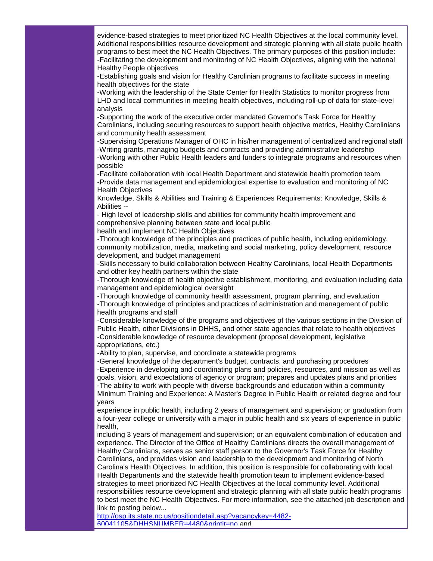evidence-based strategies to meet prioritized NC Health Objectives at the local community level. Additional responsibilities resource development and strategic planning with all state public health programs to best meet the NC Health Objectives. The primary purposes of this position include: -Facilitating the development and monitoring of NC Health Objectives, aligning with the national Healthy People objectives

-Establishing goals and vision for Healthy Carolinian programs to facilitate success in meeting health objectives for the state

-Working with the leadership of the State Center for Health Statistics to monitor progress from LHD and local communities in meeting health objectives, including roll-up of data for state-level analysis

-Supporting the work of the executive order mandated Governor's Task Force for Healthy Carolinians, including securing resources to support health objective metrics, Healthy Carolinians and community health assessment

-Supervising Operations Manager of OHC in his/her management of centralized and regional staff -Writing grants, managing budgets and contracts and providing administrative leadership

-Working with other Public Health leaders and funders to integrate programs and resources when possible

-Facilitate collaboration with local Health Department and statewide health promotion team -Provide data management and epidemiological expertise to evaluation and monitoring of NC Health Objectives

Knowledge, Skills & Abilities and Training & Experiences Requirements: Knowledge, Skills & Abilities --

- High level of leadership skills and abilities for community health improvement and comprehensive planning between state and local public health and implement NC Health Objectives

-Thorough knowledge of the principles and practices of public health, including epidemiology, community mobilization, media, marketing and social marketing, policy development, resource development, and budget management

-Skills necessary to build collaboration between Healthy Carolinians, local Health Departments and other key health partners within the state

-Thorough knowledge of health objective establishment, monitoring, and evaluation including data management and epidemiological oversight

-Thorough knowledge of community health assessment, program planning, and evaluation -Thorough knowledge of principles and practices of administration and management of public health programs and staff

-Considerable knowledge of the programs and objectives of the various sections in the Division of Public Health, other Divisions in DHHS, and other state agencies that relate to health objectives -Considerable knowledge of resource development (proposal development, legislative appropriations, etc.)

-Ability to plan, supervise, and coordinate a statewide programs

-General knowledge of the department's budget, contracts, and purchasing procedures -Experience in developing and coordinating plans and policies, resources, and mission as well as goals, vision, and expectations of agency or program; prepares and updates plans and priorities -The ability to work with people with diverse backgrounds and education within a community Minimum Training and Experience: A Master's Degree in Public Health or related degree and four years

experience in public health, including 2 years of management and supervision; or graduation from a four-year college or university with a major in public health and six years of experience in public health,

including 3 years of management and supervision; or an equivalent combination of education and experience. The Director of the Office of Healthy Carolinians directs the overall management of Healthy Carolinians, serves as senior staff person to the Governor's Task Force for Healthy Carolinians, and provides vision and leadership to the development and monitoring of North Carolina's Health Objectives. In addition, this position is responsible for collaborating with local Health Departments and the statewide health promotion team to implement evidence-based strategies to meet prioritized NC Health Objectives at the local community level. Additional responsibilities resource development and strategic planning with all state public health programs to best meet the NC Health Objectives. For more information, see the attached job description and link to posting below...

[http://osp.its.state.nc.us/positiondetail.asp?vacancykey=4482-](http://rs6.net/tn.jsp?t=xtjoradab.0.0.5gytkqcab.0&p=http%3A%2F%2Fosp.its.state.nc.us%2Fpositiondetail.asp%3Fvacancykey%3D4482-60041105%26DHHSNUMBER%3D4480%26printit%3Dno&id=preview) [60041105&DHHSNUMBER=4480&printit=no](http://rs6.net/tn.jsp?t=xtjoradab.0.0.5gytkqcab.0&p=http%3A%2F%2Fosp.its.state.nc.us%2Fpositiondetail.asp%3Fvacancykey%3D4482-60041105%26DHHSNUMBER%3D4480%26printit%3Dno&id=preview) and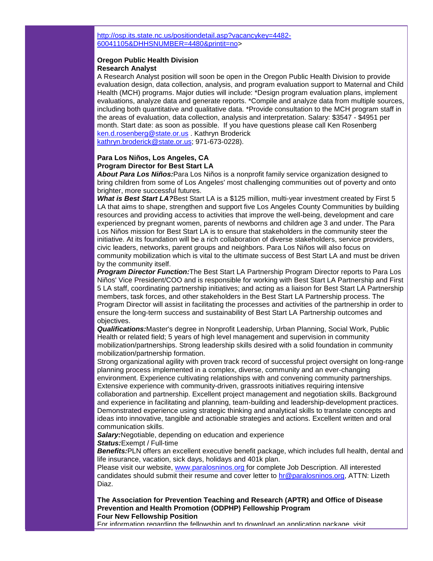[http://osp.its.state.nc.us/positiondetail.asp?vacancykey=4482-](http://rs6.net/tn.jsp?t=xtjoradab.0.0.5gytkqcab.0&p=http%3A%2F%2Fosp.its.state.nc.us%2Fpositiondetail.asp%3Fvacancykey%3D4482-60041105%26DHHSNUMBER%3D4480%26printit%3Dno&id=preview) [60041105&DHHSNUMBER=4480&printit=no>](http://rs6.net/tn.jsp?t=xtjoradab.0.0.5gytkqcab.0&p=http%3A%2F%2Fosp.its.state.nc.us%2Fpositiondetail.asp%3Fvacancykey%3D4482-60041105%26DHHSNUMBER%3D4480%26printit%3Dno&id=preview)

#### **Oregon Public Health Division Research Analyst**

A Research Analyst position will soon be open in the Oregon Public Health Division to provide evaluation design, data collection, analysis, and program evaluation support to Maternal and Child Health (MCH) programs. Major duties will include: \*Design program evaluation plans, implement evaluations, analyze data and generate reports. \*Compile and analyze data from multiple sources, including both quantitative and qualitative data. \*Provide consultation to the MCH program staff in the areas of evaluation, data collection, analysis and interpretation. Salary: \$3547 - \$4951 per month. Start date: as soon as possible. If you have questions please call Ken Rosenberg [ken.d.rosenberg@state.or.us](mailto:ken.d.rosenberg@state.or.us) . Kathryn Broderick [kathryn.broderick@state.or.us;](mailto:kathryn.broderick@state.or.us) 971-673-0228).

## **Para Los Niños, Los Angeles, CA Program Director for Best Start LA**

*About Para Los Niños:*Para Los Niños is a nonprofit family service organization designed to bring children from some of Los Angeles' most challenging communities out of poverty and onto brighter, more successful futures.

*What is Best Start LA?*Best Start LA is a \$125 million, multi-year investment created by First 5 LA that aims to shape, strengthen and support five Los Angeles County Communities by building resources and providing access to activities that improve the well-being, development and care experienced by pregnant women, parents of newborns and children age 3 and under. The Para Los Niños mission for Best Start LA is to ensure that stakeholders in the community steer the initiative. At its foundation will be a rich collaboration of diverse stakeholders, service providers, civic leaders, networks, parent groups and neighbors. Para Los Niños will also focus on community mobilization which is vital to the ultimate success of Best Start LA and must be driven by the community itself.

*Program Director Function:*The Best Start LA Partnership Program Director reports to Para Los Niños' Vice President/COO and is responsible for working with Best Start LA Partnership and First 5 LA staff, coordinating partnership initiatives; and acting as a liaison for Best Start LA Partnership members, task forces, and other stakeholders in the Best Start LA Partnership process. The Program Director will assist in facilitating the processes and activities of the partnership in order to ensure the long-term success and sustainability of Best Start LA Partnership outcomes and objectives.

*Qualifications:*Master's degree in Nonprofit Leadership, Urban Planning, Social Work, Public Health or related field; 5 years of high level management and supervision in community mobilization/partnerships. Strong leadership skills desired with a solid foundation in community mobilization/partnership formation.

Strong organizational agility with proven track record of successful project oversight on long-range planning process implemented in a complex, diverse, community and an ever-changing environment. Experience cultivating relationships with and convening community partnerships. Extensive experience with community-driven, grassroots initiatives requiring intensive

collaboration and partnership. Excellent project management and negotiation skills. Background and experience in facilitating and planning, team-building and leadership-development practices. Demonstrated experience using strategic thinking and analytical skills to translate concepts and ideas into innovative, tangible and actionable strategies and actions. Excellent written and oral communication skills.

*Salary:*Negotiable, depending on education and experience *Status:*Exempt / Full-time

*Benefits:*PLN offers an excellent executive benefit package, which includes full health, dental and life insurance, vacation, sick days, holidays and 401k plan.

Please visit our website, www.paralosninos.org for complete Job Description. All interested candidates should submit their resume and cover letter to [hr@paralosninos.org,](mailto:hr@paralosninos.org) ATTN: Lizeth Diaz.

**The Association for Prevention Teaching and Research (APTR) and Office of Disease Prevention and Health Promotion (ODPHP) Fellowship Program Four New Fellowship Position**

For information regarding the fellowship and to download an application package, visit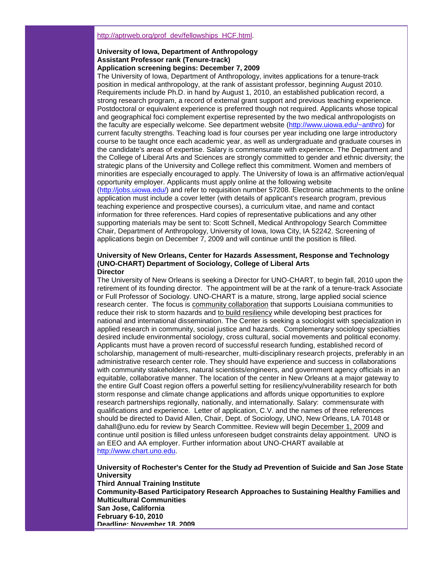#### [http://aptrweb.org/prof\\_dev/fellowships\\_HCF.html.](http://rs6.net/tn.jsp?t=xtjoradab.0.0.5gytkqcab.0&p=http%3A%2F%2Faptrweb.org%2Fprof_dev%2Ffellowships_HCF.html&id=preview)

#### **University of Iowa, Department of Anthropology Assistant Professor rank (Tenure-track) Application screening begins: December 7, 2009**

The University of Iowa, Department of Anthropology, invites applications for a tenure-track position in medical anthropology, at the rank of assistant professor, beginning August 2010. Requirements include Ph.D. in hand by August 1, 2010, an established publication record, a strong research program, a record of external grant support and previous teaching experience. Postdoctoral or equivalent experience is preferred though not required. Applicants whose topical and geographical foci complement expertise represented by the two medical anthropologists on the faculty are especially welcome. See department website [\(http://www.uiowa.edu/~anthro\)](http://rs6.net/tn.jsp?t=xtjoradab.0.0.5gytkqcab.0&p=http%3A%2F%2Fwww.uiowa.edu%2F%7Eanthro&id=preview) for current faculty strengths. Teaching load is four courses per year including one large introductory course to be taught once each academic year, as well as undergraduate and graduate courses in the candidate's areas of expertise. Salary is commensurate with experience. The Department and the College of Liberal Arts and Sciences are strongly committed to gender and ethnic diversity; the strategic plans of the University and College reflect this commitment. Women and members of minorities are especially encouraged to apply. The University of Iowa is an affirmative action/equal opportunity employer. Applicants must apply online at the following website [\(http://jobs.uiowa.edu/\)](http://rs6.net/tn.jsp?t=xtjoradab.0.0.5gytkqcab.0&p=http%3A%2F%2Fjobs.uiowa.edu%2F&id=preview) and refer to requisition number 57208. Electronic attachments to the online

application must include a cover letter (with details of applicant's research program, previous teaching experience and prospective courses), a curriculum vitae, and name and contact information for three references. Hard copies of representative publications and any other supporting materials may be sent to: Scott Schnell, Medical Anthropology Search Committee Chair, Department of Anthropology, University of Iowa, Iowa City, IA 52242. Screening of applications begin on December 7, 2009 and will continue until the position is filled.

#### **University of New Orleans, Center for Hazards Assessment, Response and Technology (UNO-CHART) Department of Sociology, College of Liberal Arts Director**

The University of New Orleans is seeking a Director for UNO-CHART, to begin fall, 2010 upon the retirement of its founding director. The appointment will be at the rank of a tenure-track Associate or Full Professor of Sociology. UNO-CHART is a mature, strong, large applied social science research center. The focus is community collaboration that supports Louisiana communities to reduce their risk to storm hazards and to build resiliency while developing best practices for national and international dissemination. The Center is seeking a sociologist with specialization in applied research in community, social justice and hazards. Complementary sociology specialties desired include environmental sociology, cross cultural, social movements and political economy. Applicants must have a proven record of successful research funding, established record of scholarship, management of multi-researcher, multi-disciplinary research projects, preferably in an administrative research center role. They should have experience and success in collaborations with community stakeholders, natural scientists/engineers, and government agency officials in an equitable, collaborative manner. The location of the center in New Orleans at a major gateway to the entire Gulf Coast region offers a powerful setting for resiliency/vulnerability research for both storm response and climate change applications and affords unique opportunities to explore research partnerships regionally, nationally, and internationally. Salary: commensurate with qualifications and experience. Letter of application, C.V. and the names of three references should be directed to David Allen, Chair, Dept. of Sociology, UNO, New Orleans, LA 70148 or dahall@uno.edu for review by Search Committee. Review will begin December 1, 2009 and continue until position is filled unless unforeseen budget constraints delay appointment. UNO is an EEO and AA employer. Further information about UNO-CHART available at [http://www.chart.uno.edu.](http://rs6.net/tn.jsp?t=xtjoradab.0.0.5gytkqcab.0&p=http%3A%2F%2Fwww.chart.uno.edu%2F&id=preview)

**University of Rochester's Center for the Study ad Prevention of Suicide and San Jose State University Third Annual Training Institute Community-Based Participatory Research Approaches to Sustaining Healthy Families and Multicultural Communities San Jose, California February 6-10, 2010 Deadline: November 18, 2009**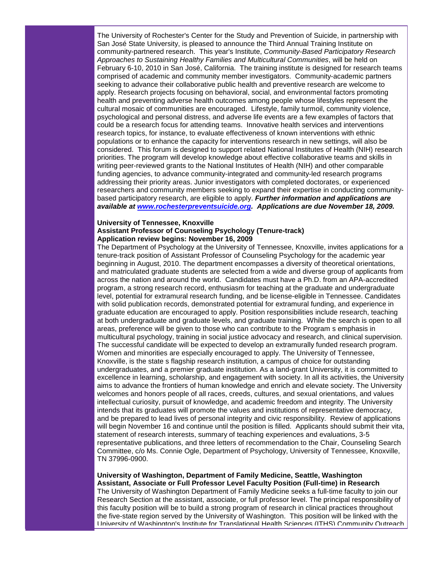The University of Rochester's Center for the Study and Prevention of Suicide, in partnership with San José State University, is pleased to announce the Third Annual Training Institute on community-partnered research. This year's Institute, *Community-Based Participatory Research Approaches to Sustaining Healthy Families and Multicultural Communities*, will be held on February 6-10, 2010 in San José, California. The training institute is designed for research teams comprised of academic and community member investigators. Community-academic partners seeking to advance their collaborative public health and preventive research are welcome to apply. Research projects focusing on behavioral, social, and environmental factors promoting health and preventing adverse health outcomes among people whose lifestyles represent the cultural mosaic of communities are encouraged. Lifestyle, family turmoil, community violence, psychological and personal distress, and adverse life events are a few examples of factors that could be a research focus for attending teams. Innovative health services and interventions research topics, for instance, to evaluate effectiveness of known interventions with ethnic populations or to enhance the capacity for interventions research in new settings, will also be considered. This forum is designed to support related National Institutes of Health (NIH) research priorities. The program will develop knowledge about effective collaborative teams and skills in writing peer-reviewed grants to the National Institutes of Health (NIH) and other comparable funding agencies, to advance community-integrated and community-led research programs addressing their priority areas. Junior investigators with completed doctorates, or experienced researchers and community members seeking to expand their expertise in conducting communitybased participatory research, are eligible to apply. *Further information and applications are available at [www.rochesterpreventsuicide.org.](http://rs6.net/tn.jsp?t=xtjoradab.0.0.5gytkqcab.0&p=http%3A%2F%2Fwww.rochesterpreventsuicide.org%2F&id=preview) Applications are due November 18, 2009.*

#### **University of Tennessee, Knoxville Assistant Professor of Counseling Psychology (Tenure-track) Application review begins: November 16, 2009**

The Department of Psychology at the University of Tennessee, Knoxville, invites applications for a tenure-track position of Assistant Professor of Counseling Psychology for the academic year beginning in August, 2010. The department encompasses a diversity of theoretical orientations, and matriculated graduate students are selected from a wide and diverse group of applicants from across the nation and around the world. Candidates must have a Ph.D. from an APA-accredited program, a strong research record, enthusiasm for teaching at the graduate and undergraduate level, potential for extramural research funding, and be license-eligible in Tennessee. Candidates with solid publication records, demonstrated potential for extramural funding, and experience in graduate education are encouraged to apply. Position responsibilities include research, teaching at both undergraduate and graduate levels, and graduate training. While the search is open to all areas, preference will be given to those who can contribute to the Program s emphasis in multicultural psychology, training in social justice advocacy and research, and clinical supervision. The successful candidate will be expected to develop an extramurally funded research program. Women and minorities are especially encouraged to apply. The University of Tennessee, Knoxville, is the state s flagship research institution, a campus of choice for outstanding undergraduates, and a premier graduate institution. As a land-grant University, it is committed to excellence in learning, scholarship, and engagement with society. In all its activities, the University aims to advance the frontiers of human knowledge and enrich and elevate society. The University welcomes and honors people of all races, creeds, cultures, and sexual orientations, and values intellectual curiosity, pursuit of knowledge, and academic freedom and integrity. The University intends that its graduates will promote the values and institutions of representative democracy, and be prepared to lead lives of personal integrity and civic responsibility. Review of applications will begin November 16 and continue until the position is filled. Applicants should submit their vita, statement of research interests, summary of teaching experiences and evaluations, 3-5 representative publications, and three letters of recommendation to the Chair, Counseling Search Committee, c/o Ms. Connie Ogle, Department of Psychology, University of Tennessee, Knoxville, TN 37996-0900.

#### **University of Washington, Department of Family Medicine, Seattle, Washington Assistant, Associate or Full Professor Level Faculty Position (Full-time) in Research**

The University of Washington Department of Family Medicine seeks a full-time faculty to join our Research Section at the assistant, associate, or full professor level. The principal responsibility of this faculty position will be to build a strong program of research in clinical practices throughout the five-state region served by the University of Washington. This position will be linked with the University of Washington's Institute for Translational Health Sciences (ITHS) Community Outreach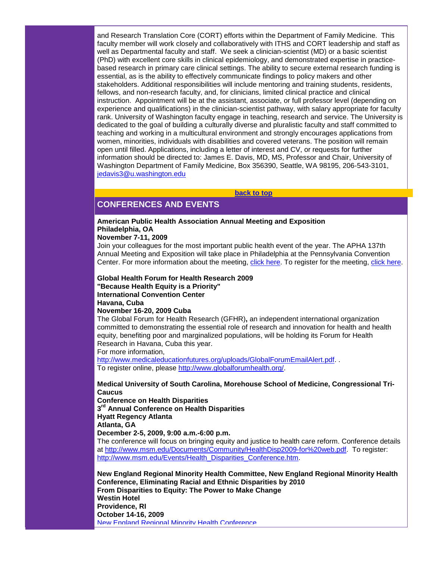and Research Translation Core (CORT) efforts within the Department of Family Medicine. This faculty member will work closely and collaboratively with ITHS and CORT leadership and staff as well as Departmental faculty and staff. We seek a clinician-scientist (MD) or a basic scientist (PhD) with excellent core skills in clinical epidemiology, and demonstrated expertise in practicebased research in primary care clinical settings. The ability to secure external research funding is essential, as is the ability to effectively communicate findings to policy makers and other stakeholders. Additional responsibilities will include mentoring and training students, residents, fellows, and non-research faculty, and, for clinicians, limited clinical practice and clinical instruction. Appointment will be at the assistant, associate, or full professor level (depending on experience and qualifications) in the clinician-scientist pathway, with salary appropriate for faculty rank. University of Washington faculty engage in teaching, research and service. The University is dedicated to the goal of building a culturally diverse and pluralistic faculty and staff committed to teaching and working in a multicultural environment and strongly encourages applications from women, minorities, individuals with disabilities and covered veterans. The position will remain open until filled. Applications, including a letter of interest and CV, or requests for further information should be directed to: James E. Davis, MD, MS, Professor and Chair, University of Washington Department of Family Medicine, Box 356390, Seattle, WA 98195, 206-543-3101, [jedavis3@u.washington.edu](mailto:jedavis3@u.washington.edu)

# <span id="page-13-0"></span>**CONFERENCES AND EVENTS**

#### **American Public Health Association Annual Meeting and Exposition Philadelphia, OA**

#### **November 7-11, 2009**

Join your colleagues for the most important public health event of the year. The APHA 137th Annual Meeting and Exposition will take place in Philadelphia at the Pennsylvania Convention Center. For more information about the meeting, [click here.](http://rs6.net/tn.jsp?t=xtjoradab.0.0.5gytkqcab.0&p=http%3A%2F%2Fclick.icptrack.com%2Ficp%2Frelay.php%3Fr%3D28637660%26msgid%3D404756%26act%3D2V5P%26c%3D269462%26admin%3D0%26destination%3Dhttp%253A%252F%252Fwww.apha.org%252Fmeetings&id=preview) To register for the meeting, [click here.](http://rs6.net/tn.jsp?t=xtjoradab.0.0.5gytkqcab.0&p=http%3A%2F%2Fclick.icptrack.com%2Ficp%2Frelay.php%3Fr%3D28637660%26msgid%3D404756%26act%3D2V5P%26c%3D269462%26admin%3D0%26destination%3Dhttp%253A%252F%252Fwww.apha.org%252Fmeetings%252Fregistration%252F&id=preview)

**[back to top](#page-0-2)**

**Global Health Forum for Health Research 2009 "Because Health Equity is a Priority" International Convention Center Havana, Cuba November 16-20, 2009 Cuba** 

The Global Forum for Health Research (GFHR)**,** an independent international organization committed to demonstrating the essential role of research and innovation for health and health equity, benefiting poor and marginalized populations, will be holding its Forum for Health Research in Havana, Cuba this year.

For more information,

[http://www.medicaleducationfutures.org/uploads/GlobalForumEmailAlert.pdf.](http://rs6.net/tn.jsp?t=xtjoradab.0.0.5gytkqcab.0&p=http%3A%2F%2Fwww.medicaleducationfutures.org%2Fuploads%2FGlobalForumEmailAlert.pdf&id=preview).. To register online, please [http://www.globalforumhealth.org/.](http://rs6.net/tn.jsp?t=xtjoradab.0.0.5gytkqcab.0&p=http%3A%2F%2Fwww.globalforumhealth.org%2F&id=preview)

**Medical University of South Carolina, Morehouse School of Medicine, Congressional Tri-Caucus**

**Conference on Health Disparities 3rd Annual Conference on Health Disparities Hyatt Regency Atlanta**

**Atlanta, GA**

**December 2-5, 2009, 9:00 a.m.-6:00 p.m.**

The conference will focus on bringing equity and justice to health care reform. Conference details at [http://www.msm.edu/Documents/Community/HealthDisp2009-for%20web.pdf.](http://rs6.net/tn.jsp?t=xtjoradab.0.0.5gytkqcab.0&p=http%3A%2F%2Fwww.msm.edu%2FDocuments%2FCommunity%2FHealthDisp2009-for%2520web.pdf&id=preview) To register: [http://www.msm.edu/Events/Health\\_Disparities\\_Conference.htm.](http://rs6.net/tn.jsp?t=xtjoradab.0.0.5gytkqcab.0&p=http%3A%2F%2Fwww.msm.edu%2FEvents%2FHealth_Disparities_Conference.htm&id=preview)

**New England Regional Minority Health Committee, New England Regional Minority Health Conference, Eliminating Racial and Ethnic Disparities by 2010 From Disparities to Equity: The Power to Make Change Westin Hotel Providence, RI October 14-16, 2009** [New England Regional Minority Health Conference](http://rs6.net/tn.jsp?t=xtjoradab.0.0.5gytkqcab.0&p=http%3A%2F%2Fclick.icptrack.com%2Ficp%2Frelay.php%3Fr%3D28637660%26msgid%3D407707%26act%3D2V5P%26c%3D269462%26admin%3D0%26destination%3Dhttp%253A%252F%252Fwww.nermhc.com%252F&id=preview)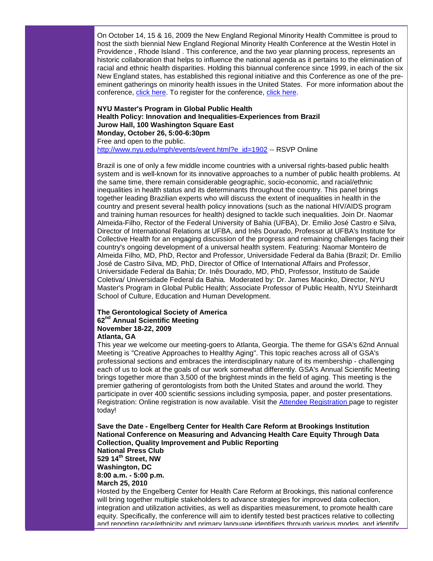On October 14, 15 & 16, 2009 the New England Regional Minority Health Committee is proud to host the sixth biennial New England Regional Minority Health Conference at the Westin Hotel in Providence , Rhode Island . This conference, and the two year planning process, represents an historic collaboration that helps to influence the national agenda as it pertains to the elimination of racial and ethnic health disparities. Holding this biannual conference since 1999, in each of the six New England states, has established this regional initiative and this Conference as one of the preeminent gatherings on minority health issues in the United States. For more information about the conference, [click here.](http://rs6.net/tn.jsp?t=xtjoradab.0.0.5gytkqcab.0&p=http%3A%2F%2Fclick.icptrack.com%2Ficp%2Frelay.php%3Fr%3D28637660%26msgid%3D407707%26act%3D2V5P%26c%3D269462%26admin%3D0%26destination%3Dhttp%253A%252F%252Fwww.nermhc.com%252Fconference_information.htm&id=preview) To register for the conference, [click here.](http://rs6.net/tn.jsp?t=xtjoradab.0.0.5gytkqcab.0&p=http%3A%2F%2Fclick.icptrack.com%2Ficp%2Frelay.php%3Fr%3D28637660%26msgid%3D407707%26act%3D2V5P%26c%3D269462%26admin%3D0%26destination%3Dhttp%253A%252F%252Fwww.nermhc.com%252Fregistration-step1.htm&id=preview)

### **NYU Master's Program in Global Public Health Health Policy: Innovation and Inequalities-Experiences from Brazil Jurow Hall, 100 Washington Square East Monday, October 26, 5:00-6:30pm** Free and open to the public.

[http://www.nyu.edu/mph/events/event.html?e\\_id=1902](http://rs6.net/tn.jsp?t=xtjoradab.0.0.5gytkqcab.0&p=http%3A%2F%2Fwww.nyu.edu%2Fmph%2Fevents%2Fevent.html%3Fe_id%3D1902&id=preview) -- RSVP Online

Brazil is one of only a few middle income countries with a universal rights-based public health system and is well-known for its innovative approaches to a number of public health problems. At the same time, there remain considerable geographic, socio-economic, and racial/ethnic inequalities in health status and its determinants throughout the country. This panel brings together leading Brazilian experts who will discuss the extent of inequalities in health in the country and present several health policy innovations (such as the national HIV/AIDS program and training human resources for health) designed to tackle such inequalities. Join Dr. Naomar Almeida-Filho, Rector of the Federal University of Bahia (UFBA), Dr. Emilio José Castro e Silva, Director of International Relations at UFBA, and Inês Dourado, Professor at UFBA's Institute for Collective Health for an engaging discussion of the progress and remaining challenges facing their country's ongoing development of a universal health system. Featuring: Naomar Monteiro de Almeida Filho, MD, PhD, Rector and Professor, Universidade Federal da Bahia (Brazil; Dr. Emílio José de Castro Silva, MD, PhD, Director of Office of International Affairs and Professor, Universidade Federal da Bahia; Dr. Inês Dourado, MD, PhD, Professor, Instituto de Saúde Coletiva/ Universidade Federal da Bahia. Moderated by: Dr. James Macinko, Director, NYU Master's Program in Global Public Health; Associate Professor of Public Health, NYU Steinhardt School of Culture, Education and Human Development.

#### **The Gerontological Society of America 62nd Annual Scientific Meeting November 18-22, 2009 Atlanta, GA**

This year we welcome our meeting-goers to Atlanta, Georgia. The theme for GSA's 62nd Annual Meeting is "Creative Approaches to Healthy Aging". This topic reaches across all of GSA's professional sections and embraces the interdisciplinary nature of its membership - challenging each of us to look at the goals of our work somewhat differently. GSA's Annual Scientific Meeting brings together more than 3,500 of the brightest minds in the field of aging. This meeting is the premier gathering of gerontologists from both the United States and around the world. They participate in over 400 scientific sessions including symposia, paper, and poster presentations. Registration: Online registration is now available. Visit the [Attendee Registration p](http://rs6.net/tn.jsp?t=xtjoradab.0.0.5gytkqcab.0&p=http%3A%2F%2Fwww.geron.org%2FAnnual%2520Meeting%2Fattendee-registration&id=preview)age to register today!

**Save the Date - Engelberg Center for Health Care Reform at Brookings Institution National Conference on Measuring and Advancing Health Care Equity Through Data Collection, Quality Improvement and Public Reporting National Press Club 529 14th Street, NW Washington, DC 8:00 a.m. - 5:00 p.m. March 25, 2010** Hosted by the Engelberg Center for Health Care Reform at Brookings, this national conference will bring together multiple stakeholders to advance strategies for improved data collection, integration and utilization activities, as well as disparities measurement, to promote health care equity. Specifically, the conference will aim to identify tested best practices relative to collecting

and reporting race/ethnicity and primary language identifiers through various modes, and identify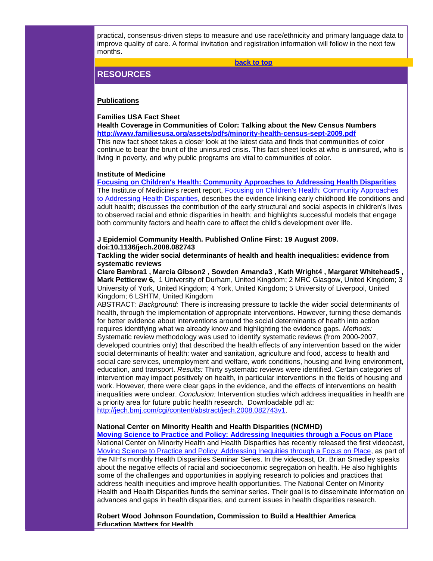practical, consensus-driven steps to measure and use race/ethnicity and primary language data to improve quality of care. A formal invitation and registration information will follow in the next few months.

**[back to top](#page-0-2)**

# <span id="page-15-0"></span>**RESOURCES**

#### **Publications**

#### **Families USA Fact Sheet**

**Health Coverage in Communities of Color: Talking about the New Census Numbers [http://www.familiesusa.org/assets/pdfs/minority-health-census-sept-2009.pdf](http://rs6.net/tn.jsp?t=xtjoradab.0.0.5gytkqcab.0&p=http%3A%2F%2Fwww.familiesusa.org%2Fassets%2Fpdfs%2Fminority-health-census-sept-2009.pdf&id=preview)** This new fact sheet takes a closer look at the latest data and finds that communities of color continue to bear the brunt of the uninsured crisis. This fact sheet looks at who is uninsured, who is living in poverty, and why public programs are vital to communities of color.

#### **Institute of Medicine**

**[Focusing on Children's Health: Community Approaches to Addressing Health Disparities](http://rs6.net/tn.jsp?t=xtjoradab.0.0.5gytkqcab.0&p=http%3A%2F%2Fwww.nap.edu%2Fcatalog%2F12637.html&id=preview)** The Institute of Medicine's recent report, [Focusing on Children's Health: Community Approaches](http://rs6.net/tn.jsp?t=xtjoradab.0.0.5gytkqcab.0&p=http%3A%2F%2Fwww.nap.edu%2Fcatalog%2F12637.html&id=preview)  [to Addressing Health Disparities,](http://rs6.net/tn.jsp?t=xtjoradab.0.0.5gytkqcab.0&p=http%3A%2F%2Fwww.nap.edu%2Fcatalog%2F12637.html&id=preview) describes the evidence linking early childhood life conditions and adult health; discusses the contribution of the early structural and social aspects in children's lives to observed racial and ethnic disparities in health; and highlights successful models that engage both community factors and health care to affect the child's development over life.

## **J Epidemiol Community Health. Published Online First: 19 August 2009. doi:10.1136/jech.2008.082743**

**Tackling the wider social determinants of health and health inequalities: evidence from systematic reviews**

**Clare Bambra1 , Marcia Gibson2 , Sowden Amanda3 , Kath Wright4 , Margaret Whitehead5 , Mark Petticrew 6,** 1 University of Durham, United Kingdom; 2 MRC Glasgow, United Kingdom; 3 University of York, United Kingdom; 4 York, United Kingdom; 5 University of Liverpool, United Kingdom; 6 LSHTM, United Kingdom

ABSTRACT: *Background:* There is increasing pressure to tackle the wider social determinants of health, through the implementation of appropriate interventions. However, turning these demands for better evidence about interventions around the social determinants of health into action requires identifying what we already know and highlighting the evidence gaps. *Methods:* Systematic review methodology was used to identify systematic reviews (from 2000-2007, developed countries only) that described the health effects of any intervention based on the wider social determinants of health: water and sanitation, agriculture and food, access to health and social care services, unemployment and welfare, work conditions, housing and living environment, education, and transport. *Results:* Thirty systematic reviews were identified. Certain categories of intervention may impact positively on health, in particular interventions in the fields of housing and work. However, there were clear gaps in the evidence, and the effects of interventions on health inequalities were unclear. *Conclusion:* Intervention studies which address inequalities in health are a priority area for future public health research. Downloadable pdf at: [http://jech.bmj.com/cgi/content/abstract/jech.2008.082743v1.](http://rs6.net/tn.jsp?t=xtjoradab.0.0.5gytkqcab.0&p=http%3A%2F%2Fjech.bmj.com%2Fcgi%2Fcontent%2Fabstract%2Fjech.2008.082743v1&id=preview)

#### **National Center on Minority Health and Health Disparities (NCMHD)**

**[Moving Science to Practice and Policy: Addressing Inequities through a Focus on Place](http://rs6.net/tn.jsp?t=xtjoradab.0.0.5gytkqcab.0&p=http%3A%2F%2Fvideocast.nih.gov%2FSummary.asp%3FFile%3D15250&id=preview)** National Center on Minority Health and Health Disparities has recently released the first videocast, [Moving Science to Practice and Policy: Addressing Inequities through a Focus on Place,](http://rs6.net/tn.jsp?t=xtjoradab.0.0.5gytkqcab.0&p=http%3A%2F%2Fvideocast.nih.gov%2FSummary.asp%3FFile%3D15250&id=preview) as part of the NIH's monthly Health Disparities Seminar Series. In the videocast, Dr. Brian Smedley speaks about the negative effects of racial and socioeconomic segregation on health. He also highlights some of the challenges and opportunities in applying research to policies and practices that address health inequities and improve health opportunities. The National Center on Minority Health and Health Disparities funds the seminar series. Their goal is to disseminate information on advances and gaps in health disparities, and current issues in health disparities research.

**Robert Wood Johnson Foundation, Commission to Build a Healthier America Education Matters for Health**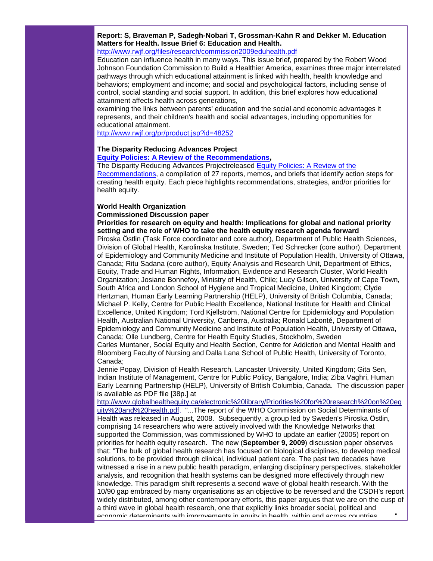**Report: S, Braveman P, Sadegh-Nobari T, Grossman-Kahn R and Dekker M. Education Matters for Health. Issue Brief 6: Education and Health.** 

[http://www.rwjf.org/files/research/commission2009eduhealth.pdf](http://rs6.net/tn.jsp?t=xtjoradab.0.0.5gytkqcab.0&p=http%3A%2F%2Fwww.rwjf.org%2Ffiles%2Fresearch%2Fcommission2009eduhealth.pdf&id=preview)

Education can influence health in many ways. This issue brief, prepared by the Robert Wood Johnson Foundation Commission to Build a Healthier America, examines three major interrelated pathways through which educational attainment is linked with health, health knowledge and behaviors; employment and income; and social and psychological factors, including sense of control, social standing and social support. In addition, this brief explores how educational attainment affects health across generations,

examining the links between parents' education and the social and economic advantages it represents, and their children's health and social advantages, including opportunities for educational attainment.

[http://www.rwjf.org/pr/product.jsp?id=48252](http://rs6.net/tn.jsp?t=xtjoradab.0.0.5gytkqcab.0&p=http%3A%2F%2Fwww.rwjf.org%2Fpr%2Fproduct.jsp%3Fid%3D48252&id=preview)

# **The Disparity Reducing Advances Project**

**[Equity Policies: A Review of the Recommendations,](http://rs6.net/tn.jsp?t=xtjoradab.0.0.5gytkqcab.0&p=http%3A%2F%2Fwww.altfutures.com%2Fdraproject%2Fpdfs%2FReport_09_01_Health_Equity_Policies_A_Review_of_the_Recommendations.pdf&id=preview)**

The Disparity Reducing Advances Projectreleased [Equity Policies: A Review of the](http://rs6.net/tn.jsp?t=xtjoradab.0.0.5gytkqcab.0&p=http%3A%2F%2Fwww.altfutures.com%2Fdraproject%2Fpdfs%2FReport_09_01_Health_Equity_Policies_A_Review_of_the_Recommendations.pdf&id=preview)  [Recommendations,](http://rs6.net/tn.jsp?t=xtjoradab.0.0.5gytkqcab.0&p=http%3A%2F%2Fwww.altfutures.com%2Fdraproject%2Fpdfs%2FReport_09_01_Health_Equity_Policies_A_Review_of_the_Recommendations.pdf&id=preview) a compilation of 27 reports, memos, and briefs that identify action steps for creating health equity. Each piece highlights recommendations, strategies, and/or priorities for health equity.

## **World Health Organization**

#### **Commissioned Discussion paper**

**Priorities for research on equity and health: Implications for global and national priority setting and the role of WHO to take the health equity research agenda forward**

Piroska Östlin (Task Force coordinator and core author), Department of Public Health Sciences, Division of Global Health, Karolinska Institute, Sweden; Ted Schrecker (core author), Department of Epidemiology and Community Medicine and Institute of Population Health, University of Ottawa, Canada; Ritu Sadana (core author), Equity Analysis and Research Unit, Department of Ethics, Equity, Trade and Human Rights, Information, Evidence and Research Cluster, World Health Organization; Josiane Bonnefoy, Ministry of Health, Chile; Lucy Gilson, University of Cape Town, South Africa and London School of Hygiene and Tropical Medicine, United Kingdom; Clyde Hertzman, Human Early Learning Partnership (HELP), University of British Columbia, Canada; Michael P. Kelly, Centre for Public Health Excellence, National Institute for Health and Clinical Excellence, United Kingdom; Tord Kjellström, National Centre for Epidemiology and Population Health, Australian National University, Canberra, Australia; Ronald Labonté, Department of Epidemiology and Community Medicine and Institute of Population Health, University of Ottawa, Canada; Olle Lundberg, Centre for Health Equity Studies, Stockholm, Sweden Carles Muntaner, Social Equity and Health Section, Centre for Addiction and Mental Health and Bloomberg Faculty of Nursing and Dalla Lana School of Public Health, University of Toronto, Canada;

Jennie Popay, Division of Health Research, Lancaster University, United Kingdom; Gita Sen, Indian Institute of Management, Centre for Public Policy, Bangalore, India; Ziba Vaghri, Human Early Learning Partnership (HELP), University of British Columbia, Canada. The discussion paper is available as PDF file [38p.] at

[http://www.globalhealthequity.ca/electronic%20library/Priorities%20for%20research%20on%20eq](http://rs6.net/tn.jsp?t=xtjoradab.0.0.5gytkqcab.0&p=http%3A%2F%2Fwww.globalhealthequity.ca%2Felectronic%2520library%2FPriorities%2520for%2520research%2520on%2520equity%2520and%2520health.pdf&id=preview) [uity%20and%20health.pdf.](http://rs6.net/tn.jsp?t=xtjoradab.0.0.5gytkqcab.0&p=http%3A%2F%2Fwww.globalhealthequity.ca%2Felectronic%2520library%2FPriorities%2520for%2520research%2520on%2520equity%2520and%2520health.pdf&id=preview) "...The report of the WHO Commission on Social Determinants of Health was released in August, 2008. Subsequently, a group led by Sweden's Piroska Östlin, comprising 14 researchers who were actively involved with the Knowledge Networks that supported the Commission, was commissioned by WHO to update an earlier (2005) report on priorities for health equity research. The new (**September 9, 2009**) discussion paper observes that: "The bulk of global health research has focused on biological disciplines, to develop medical solutions, to be provided through clinical, individual patient care. The past two decades have witnessed a rise in a new public health paradigm, enlarging disciplinary perspectives, stakeholder analysis, and recognition that health systems can be designed more effectively through new knowledge. This paradigm shift represents a second wave of global health research. With the 10/90 gap embraced by many organisations as an objective to be reversed and the CSDH's report widely distributed, among other contemporary efforts, this paper argues that we are on the cusp of a third wave in global health research, one that explicitly links broader social, political and economic determinants with improvements in equity in health, within and across countries.